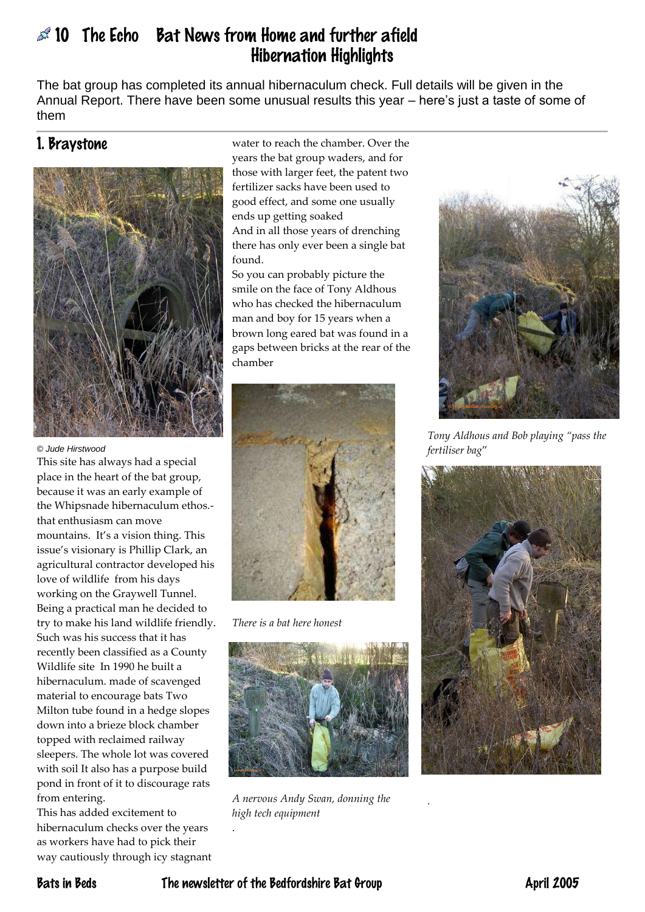## $\mathbb{R}^2$  10 The Echo Bat News from Home and further afield Hibernation Highlights

The bat group has completed its annual hibernaculum check. Full details will be given in the Annual Report. There have been some unusual results this year – here's just a taste of some of them

## 1. Braystone



*© Jude Hirstwood*

This site has always had a special place in the heart of the bat group, because it was an early example of the Whipsnade hibernaculum ethos. that enthusiasm can move mountains. It's a vision thing. This issue's visionary is Phillip Clark, an agricultural contractor developed his love of wildlife from his days working on the Graywell Tunnel. Being a practical man he decided to try to make his land wildlife friendly. Such was his success that it has recently been classified as a County Wildlife site In 1990 he built a hibernaculum. made of scavenged material to encourage bats Two Milton tube found in a hedge slopes down into a brieze block chamber topped with reclaimed railway sleepers. The whole lot was covered with soil It also has a purpose build pond in front of it to discourage rats from entering.

This has added excitement to hibernaculum checks over the years as workers have had to pick their way cautiously through icy stagnant water to reach the chamber. Over the years the bat group waders, and for those with larger feet, the patent two fertilizer sacks have been used to good effect, and some one usually ends up getting soaked And in all those years of drenching there has only ever been a single bat found.

So you can probably picture the smile on the face of Tony Aldhous who has checked the hibernaculum man and boy for 15 years when a brown long eared bat was found in a gaps between bricks at the rear of the chamber



*There is a bat here honest*



*A nervous Andy Swan, donning the high tech equipment*



*Tony Aldhous and Bob playing "pass the fertiliser bag*"



*.*

.